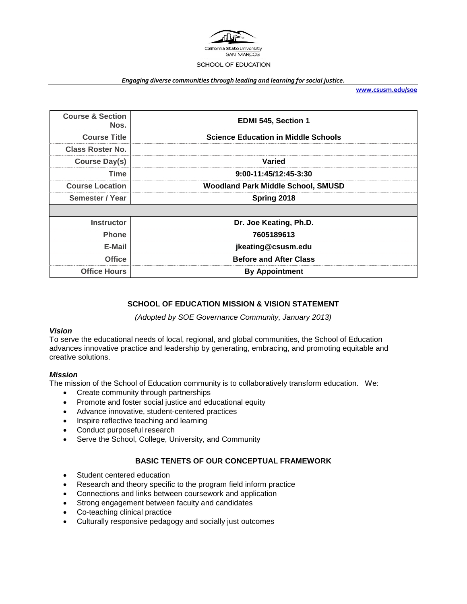

#### *Engaging diverse communities through leading and learning for social justice.*

**[www.csusm.edu/soe](http://www.csusm.edu/soe)**

| <b>Course &amp; Section</b><br>Nos. | EDMI 545, Section 1                        |
|-------------------------------------|--------------------------------------------|
| <b>Course Title</b>                 | <b>Science Education in Middle Schools</b> |
| <b>Class Roster No.</b>             |                                            |
| <b>Course Day(s)</b>                | Varied                                     |
| Time                                | 9:00-11:45/12:45-3:30                      |
| <b>Course Location</b>              | <b>Woodland Park Middle School, SMUSD</b>  |
| Semester / Year                     | Spring 2018                                |
|                                     |                                            |
| <b>Instructor</b>                   | Dr. Joe Keating, Ph.D.                     |
| <b>Phone</b>                        | 7605189613                                 |
| E-Mail                              | jkeating@csusm.edu                         |
| <b>Office</b>                       | <b>Before and After Class</b>              |
| <b>Office Hours</b>                 | <b>By Appointment</b>                      |
|                                     |                                            |

# **SCHOOL OF EDUCATION MISSION & VISION STATEMENT**

*(Adopted by SOE Governance Community, January 2013)*

#### *Vision*

To serve the educational needs of local, regional, and global communities, the School of Education advances innovative practice and leadership by generating, embracing, and promoting equitable and creative solutions.

#### *Mission*

The mission of the School of Education community is to collaboratively transform education. We:

- Create community through partnerships
- Promote and foster social justice and educational equity
- Advance innovative, student-centered practices
- Inspire reflective teaching and learning
- Conduct purposeful research
- Serve the School, College, University, and Community

# **BASIC TENETS OF OUR CONCEPTUAL FRAMEWORK**

- Student centered education
- Research and theory specific to the program field inform practice
- Connections and links between coursework and application
- Strong engagement between faculty and candidates
- Co-teaching clinical practice
- Culturally responsive pedagogy and socially just outcomes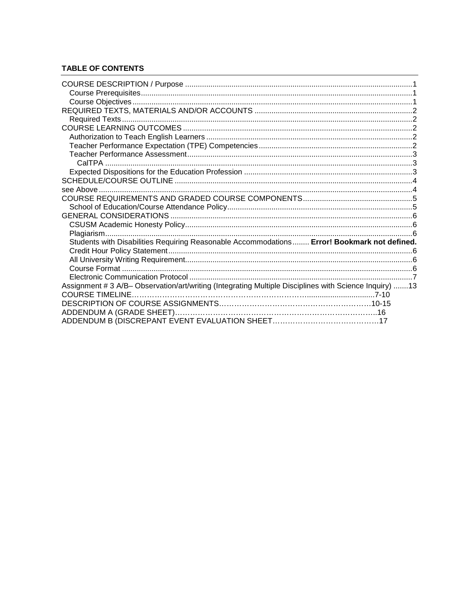# **TABLE OF CONTENTS**

| Students with Disabilities Requiring Reasonable Accommodations Error! Bookmark not defined.            |  |
|--------------------------------------------------------------------------------------------------------|--|
|                                                                                                        |  |
|                                                                                                        |  |
|                                                                                                        |  |
|                                                                                                        |  |
| Assignment # 3 A/B- Observation/art/writing (Integrating Multiple Disciplines with Science Inquiry) 13 |  |
| <b>COURSE TIMELINE.</b>                                                                                |  |
|                                                                                                        |  |
|                                                                                                        |  |
|                                                                                                        |  |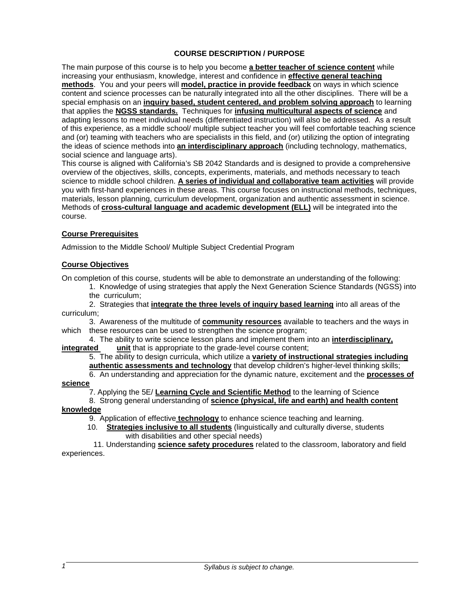# **COURSE DESCRIPTION / PURPOSE**

The main purpose of this course is to help you become **a better teacher of science content** while increasing your enthusiasm, knowledge, interest and confidence in **effective general teaching methods**. You and your peers will **model, practice in provide feedback** on ways in which science content and science processes can be naturally integrated into all the other disciplines. There will be a special emphasis on an **inquiry based, student centered, and problem solving approach** to learning that applies the **NGSS standards.** Techniques for **infusing multicultural aspects of science** and adapting lessons to meet individual needs (differentiated instruction) will also be addressed. As a result of this experience, as a middle school/ multiple subject teacher you will feel comfortable teaching science and (or) teaming with teachers who are specialists in this field, and (or) utilizing the option of integrating the ideas of science methods into **an interdisciplinary approach** (including technology, mathematics, social science and language arts).

This course is aligned with California's SB 2042 Standards and is designed to provide a comprehensive overview of the objectives, skills, concepts, experiments, materials, and methods necessary to teach science to middle school children. **A series of individual and collaborative team activities** will provide you with first-hand experiences in these areas. This course focuses on instructional methods, techniques, materials, lesson planning, curriculum development, organization and authentic assessment in science. Methods of **cross-cultural language and academic development (ELL)** will be integrated into the course.

# **Course Prerequisites**

Admission to the Middle School/ Multiple Subject Credential Program

# **Course Objectives**

On completion of this course, students will be able to demonstrate an understanding of the following:

1. Knowledge of using strategies that apply the Next Generation Science Standards (NGSS) into the curriculum;

2. Strategies that **integrate the three levels of inquiry based learning** into all areas of the curriculum;

3. Awareness of the multitude of **community resources** available to teachers and the ways in which these resources can be used to strengthen the science program;

4. The ability to write science lesson plans and implement them into an **interdisciplinary, integrated** unit that is appropriate to the grade-level course content;

5. The ability to design curricula, which utilize a **variety of instructional strategies including** 

**authentic assessments and technology** that develop children's higher-level thinking skills;

6. An understanding and appreciation for the dynamic nature, excitement and the **processes of science**

7. Applying the 5E/ **Learning Cycle and Scientific Method** to the learning of Science

8. Strong general understanding of **science (physical, life and earth) and health content** 

# **knowledge**

9. Application of effective **technology** to enhance science teaching and learning.

 10. **Strategies inclusive to all students** (linguistically and culturally diverse, students with disabilities and other special needs)

 11. Understanding **science safety procedures** related to the classroom, laboratory and field experiences.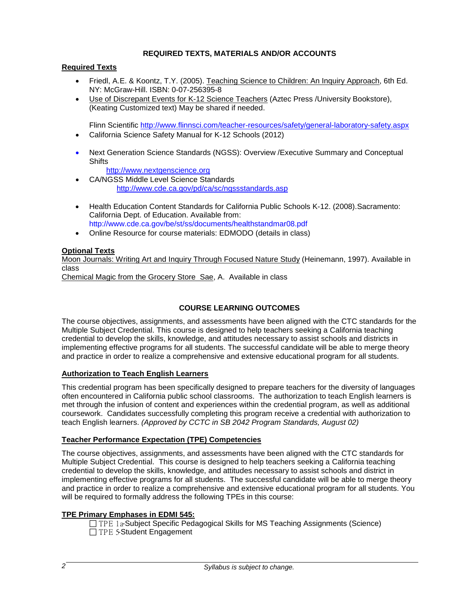# **REQUIRED TEXTS, MATERIALS AND/OR ACCOUNTS**

# **Required Texts**

- Friedl, A.E. & Koontz, T.Y. (2005). Teaching Science to Children: An Inquiry Approach, 6th Ed. NY: McGraw-Hill. ISBN: 0-07-256395-8
- Use of Discrepant Events for K-12 Science Teachers (Aztec Press /University Bookstore), (Keating Customized text) May be shared if needed.

Flinn Scientific<http://www.flinnsci.com/teacher-resources/safety/general-laboratory-safety.aspx> • California Science Safety Manual for K-12 Schools (2012)

• Next Generation Science Standards (NGSS): Overview / Executive Summary and Conceptual **Shifts** 

[http://www.nextgenscience.org](http://www.nextgenscience.org/) 

- CA/NGSS Middle Level Science Standards <http://www.cde.ca.gov/pd/ca/sc/ngssstandards.asp>
- Health Education Content Standards for California Public Schools K-12. (2008).Sacramento: California Dept. of Education. Available from: http://www.cde.ca.gov/be/st/ss/documents/healthstandmar08.pdf
- Online Resource for course materials: EDMODO (details in class)

# **Optional Texts**

Moon Journals: Writing Art and Inquiry Through Focused Nature Study (Heinemann, 1997). Available in class

Chemical Magic from the Grocery Store Sae, A. Available in class

# **COURSE LEARNING OUTCOMES**

The course objectives, assignments, and assessments have been aligned with the CTC standards for the Multiple Subject Credential. This course is designed to help teachers seeking a California teaching credential to develop the skills, knowledge, and attitudes necessary to assist schools and districts in implementing effective programs for all students. The successful candidate will be able to merge theory and practice in order to realize a comprehensive and extensive educational program for all students.

# **Authorization to Teach English Learners**

This credential program has been specifically designed to prepare teachers for the diversity of languages often encountered in California public school classrooms. The authorization to teach English learners is met through the infusion of content and experiences within the credential program, as well as additional coursework. Candidates successfully completing this program receive a credential with authorization to teach English learners. *(Approved by CCTC in SB 2042 Program Standards, August 02)*

# **Teacher Performance Expectation (TPE) Competencies**

The course objectives, assignments, and assessments have been aligned with the CTC standards for Multiple Subject Credential. This course is designed to help teachers seeking a California teaching credential to develop the skills, knowledge, and attitudes necessary to assist schools and district in implementing effective programs for all students. The successful candidate will be able to merge theory and practice in order to realize a comprehensive and extensive educational program for all students. You will be required to formally address the following TPEs in this course:

# **TPE Primary Emphases in EDMI 545:**

□ TPE 1a-Subject Specific Pedagogical Skills for MS Teaching Assignments (Science) □TPE 5-Student Engagement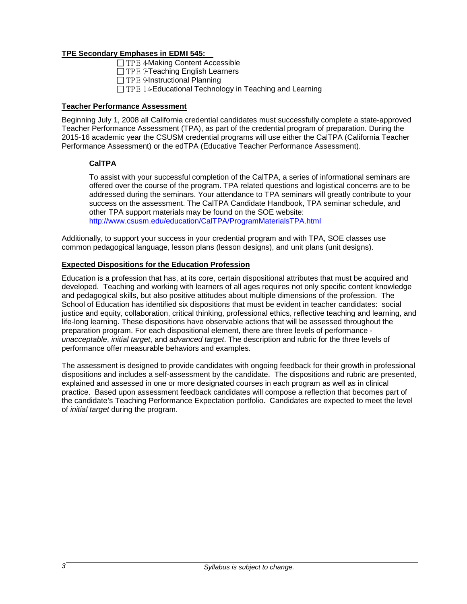# **TPE Secondary Emphases in EDMI 545:**

□ TPE 4-Making Content Accessible

- □ TPE 7-Teaching English Learners
- TPE 9-Instructional Planning
- $\Box$  TPE 14-Educational Technology in Teaching and Learning

# **Teacher Performance Assessment**

Beginning July 1, 2008 all California credential candidates must successfully complete a state-approved Teacher Performance Assessment (TPA), as part of the credential program of preparation. During the 2015-16 academic year the CSUSM credential programs will use either the CalTPA (California Teacher Performance Assessment) or the edTPA (Educative Teacher Performance Assessment).

# **CalTPA**

To assist with your successful completion of the CalTPA, a series of informational seminars are offered over the course of the program. TPA related questions and logistical concerns are to be addressed during the seminars. Your attendance to TPA seminars will greatly contribute to your success on the assessment. The CalTPA Candidate Handbook, TPA seminar schedule, and other TPA support materials may be found on the SOE website: http://www.csusm.edu/education/CalTPA/ProgramMaterialsTPA.html

Additionally, to support your success in your credential program and with TPA, SOE classes use common pedagogical language, lesson plans (lesson designs), and unit plans (unit designs).

# **Expected Dispositions for the Education Profession**

Education is a profession that has, at its core, certain dispositional attributes that must be acquired and developed. Teaching and working with learners of all ages requires not only specific content knowledge and pedagogical skills, but also positive attitudes about multiple dimensions of the profession. The School of Education has identified six dispositions that must be evident in teacher candidates: social justice and equity, collaboration, critical thinking, professional ethics, reflective teaching and learning, and life-long learning. These dispositions have observable actions that will be assessed throughout the preparation program. For each dispositional element, there are three levels of performance *unacceptable*, *initial target*, and *advanced target*. The description and rubric for the three levels of performance offer measurable behaviors and examples.

The assessment is designed to provide candidates with ongoing feedback for their growth in professional dispositions and includes a self-assessment by the candidate. The dispositions and rubric are presented, explained and assessed in one or more designated courses in each program as well as in clinical practice. Based upon assessment feedback candidates will compose a reflection that becomes part of the candidate's Teaching Performance Expectation portfolio. Candidates are expected to meet the level of *initial target* during the program.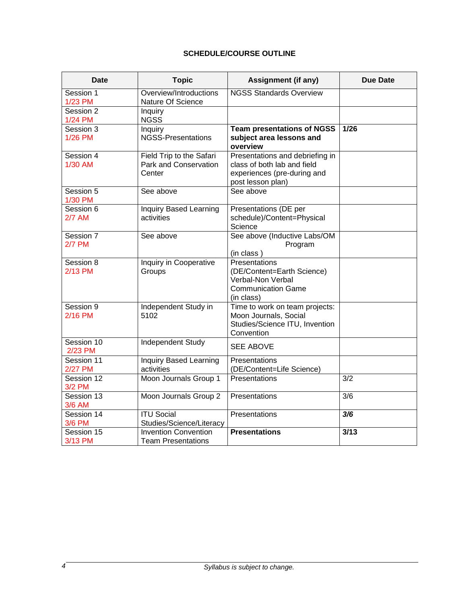# **SCHEDULE/COURSE OUTLINE**

| <b>Date</b>                | <b>Topic</b>                                                | <b>Assignment (if any)</b>                                                                                         | <b>Due Date</b>  |
|----------------------------|-------------------------------------------------------------|--------------------------------------------------------------------------------------------------------------------|------------------|
| Session 1<br>1/23 PM       | Overview/Introductions<br>Nature Of Science                 | <b>NGSS Standards Overview</b>                                                                                     |                  |
| Session 2<br>1/24 PM       | Inquiry<br><b>NGSS</b>                                      |                                                                                                                    |                  |
| Session 3<br>1/26 PM       | Inquiry<br><b>NGSS-Presentations</b>                        | <b>Team presentations of NGSS</b><br>subject area lessons and<br>overview                                          | $1/26$           |
| Session 4<br>1/30 AM       | Field Trip to the Safari<br>Park and Conservation<br>Center | Presentations and debriefing in<br>class of both lab and field<br>experiences (pre-during and<br>post lesson plan) |                  |
| Session 5<br>1/30 PM       | See above                                                   | See above                                                                                                          |                  |
| Session 6<br><b>2/7 AM</b> | Inquiry Based Learning<br>activities                        | Presentations (DE per<br>schedule)/Content=Physical<br>Science                                                     |                  |
| Session 7<br><b>2/7 PM</b> | See above                                                   | See above (Inductive Labs/OM<br>Program<br>(in class)                                                              |                  |
| Session 8<br>2/13 PM       | <b>Inquiry in Cooperative</b><br>Groups                     | Presentations<br>(DE/Content=Earth Science)<br>Verbal-Non Verbal<br><b>Communication Game</b><br>(in class)        |                  |
| Session 9<br>2/16 PM       | Independent Study in<br>5102                                | Time to work on team projects:<br>Moon Journals, Social<br>Studies/Science ITU, Invention<br>Convention            |                  |
| Session 10<br>2/23 PM      | <b>Independent Study</b>                                    | <b>SEE ABOVE</b>                                                                                                   |                  |
| Session 11<br>2/27 PM      | <b>Inquiry Based Learning</b><br>activities                 | Presentations<br>(DE/Content=Life Science)                                                                         |                  |
| Session 12<br>3/2 PM       | Moon Journals Group 1                                       | Presentations                                                                                                      | $\overline{3/2}$ |
| Session 13<br>3/6 AM       | Moon Journals Group 2                                       | Presentations                                                                                                      | $\overline{3/6}$ |
| Session 14<br>3/6 PM       | <b>ITU Social</b><br>Studies/Science/Literacy               | Presentations                                                                                                      | 3/6              |
| Session 15<br>3/13 PM      | <b>Invention Convention</b><br><b>Team Presentations</b>    | <b>Presentations</b>                                                                                               | 3/13             |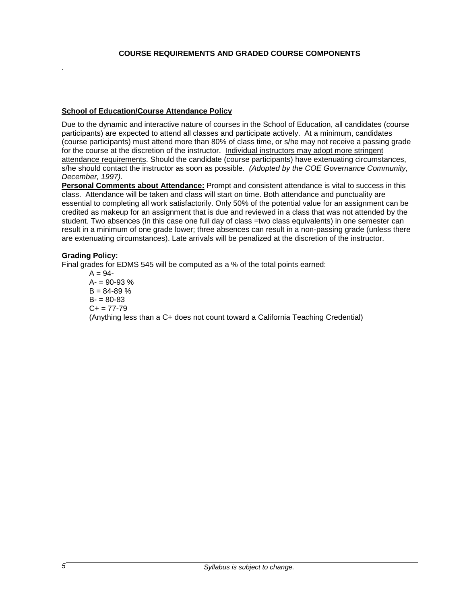#### **COURSE REQUIREMENTS AND GRADED COURSE COMPONENTS**

#### **School of Education/Course Attendance Policy**

Due to the dynamic and interactive nature of courses in the School of Education, all candidates (course participants) are expected to attend all classes and participate actively. At a minimum, candidates (course participants) must attend more than 80% of class time, or s/he may not receive a passing grade for the course at the discretion of the instructor. Individual instructors may adopt more stringent attendance requirements. Should the candidate (course participants) have extenuating circumstances, s/he should contact the instructor as soon as possible. *(Adopted by the COE Governance Community, December, 1997).*

**Personal Comments about Attendance:** Prompt and consistent attendance is vital to success in this class. Attendance will be taken and class will start on time. Both attendance and punctuality are essential to completing all work satisfactorily. Only 50% of the potential value for an assignment can be credited as makeup for an assignment that is due and reviewed in a class that was not attended by the student. Two absences (in this case one full day of class =two class equivalents) in one semester can result in a minimum of one grade lower; three absences can result in a non-passing grade (unless there are extenuating circumstances). Late arrivals will be penalized at the discretion of the instructor.

#### **Grading Policy:**

.

Final grades for EDMS 545 will be computed as a % of the total points earned:

 $A = 94 A = 90 - 93 %$  $B = 84 - 89%$  $B = 80 - 83$  $C_{+}$  = 77-79 (Anything less than a C+ does not count toward a California Teaching Credential)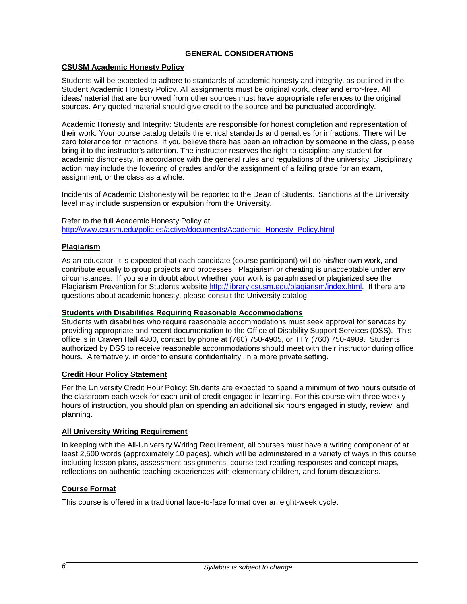# **GENERAL CONSIDERATIONS**

# **CSUSM Academic Honesty Policy**

Students will be expected to adhere to standards of academic honesty and integrity, as outlined in the Student Academic Honesty Policy. All assignments must be original work, clear and error-free. All ideas/material that are borrowed from other sources must have appropriate references to the original sources. Any quoted material should give credit to the source and be punctuated accordingly.

Academic Honesty and Integrity: Students are responsible for honest completion and representation of their work. Your course catalog details the ethical standards and penalties for infractions. There will be zero tolerance for infractions. If you believe there has been an infraction by someone in the class, please bring it to the instructor's attention. The instructor reserves the right to discipline any student for academic dishonesty, in accordance with the general rules and regulations of the university. Disciplinary action may include the lowering of grades and/or the assignment of a failing grade for an exam, assignment, or the class as a whole.

Incidents of Academic Dishonesty will be reported to the Dean of Students. Sanctions at the University level may include suspension or expulsion from the University.

Refer to the full Academic Honesty Policy at: [http://www.csusm.edu/policies/active/documents/Academic\\_Honesty\\_Policy.html](http://www.csusm.edu/policies/active/documents/Academic_Honesty_Policy.html)

# **Plagiarism**

As an educator, it is expected that each candidate (course participant) will do his/her own work, and contribute equally to group projects and processes. Plagiarism or cheating is unacceptable under any circumstances. If you are in doubt about whether your work is paraphrased or plagiarized see the Plagiarism Prevention for Students website [http://library.csusm.edu/plagiarism/index.html.](http://library.csusm.edu/plagiarism/index.html) If there are questions about academic honesty, please consult the University catalog.

# **Students with Disabilities Requiring Reasonable Accommodations**

Students with disabilities who require reasonable accommodations must seek approval for services by providing appropriate and recent documentation to the Office of Disability Support Services (DSS). This office is in Craven Hall 4300, contact by phone at (760) 750-4905, or TTY (760) 750-4909. Students authorized by DSS to receive reasonable accommodations should meet with their instructor during office hours. Alternatively, in order to ensure confidentiality, in a more private setting.

# **Credit Hour Policy Statement**

Per the University Credit Hour Policy: Students are expected to spend a minimum of two hours outside of the classroom each week for each unit of credit engaged in learning. For this course with three weekly hours of instruction, you should plan on spending an additional six hours engaged in study, review, and planning.

# **All University Writing Requirement**

In keeping with the All-University Writing Requirement, all courses must have a writing component of at least 2,500 words (approximately 10 pages), which will be administered in a variety of ways in this course including lesson plans, assessment assignments, course text reading responses and concept maps, reflections on authentic teaching experiences with elementary children, and forum discussions.

# **Course Format**

This course is offered in a traditional face-to-face format over an eight-week cycle.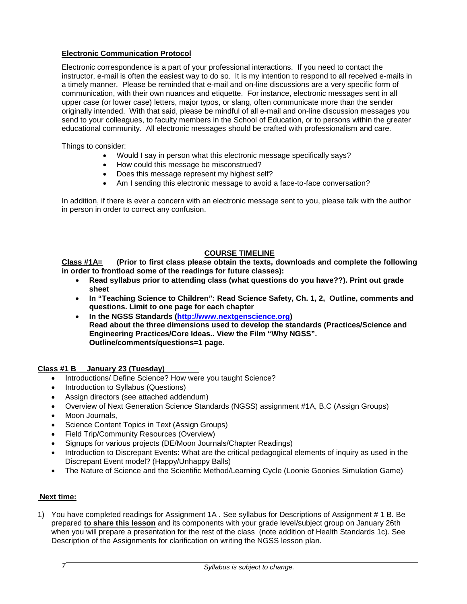# **Electronic Communication Protocol**

Electronic correspondence is a part of your professional interactions. If you need to contact the instructor, e-mail is often the easiest way to do so. It is my intention to respond to all received e-mails in a timely manner. Please be reminded that e-mail and on-line discussions are a very specific form of communication, with their own nuances and etiquette. For instance, electronic messages sent in all upper case (or lower case) letters, major typos, or slang, often communicate more than the sender originally intended. With that said, please be mindful of all e-mail and on-line discussion messages you send to your colleagues, to faculty members in the School of Education, or to persons within the greater educational community. All electronic messages should be crafted with professionalism and care.

Things to consider:

- Would I say in person what this electronic message specifically says?
- How could this message be misconstrued?
- Does this message represent my highest self?
- Am I sending this electronic message to avoid a face-to-face conversation?

In addition, if there is ever a concern with an electronic message sent to you, please talk with the author in person in order to correct any confusion.

# **COURSE TIMELINE**

**Class #1A= (Prior to first class please obtain the texts, downloads and complete the following in order to frontload some of the readings for future classes):** 

- **Read syllabus prior to attending class (what questions do you have??). Print out grade sheet**
- **In "Teaching Science to Children": Read Science Safety, Ch. 1, 2, Outline, comments and questions. Limit to one page for each chapter**
- **In the NGSS Standards [\(http://www.nextgenscience.org\)](http://www.nextgenscience.org/) Read about the three dimensions used to develop the standards (Practices/Science and Engineering Practices/Core Ideas.. View the Film "Why NGSS". Outline/comments/questions=1 page**.

# **Class #1 B January 23 (Tuesday)**

- Introductions/ Define Science? How were you taught Science?
- Introduction to Syllabus (Questions)
- Assign directors (see attached addendum)
- Overview of Next Generation Science Standards (NGSS) assignment #1A, B,C (Assign Groups)
- Moon Journals.
- Science Content Topics in Text (Assign Groups)
- Field Trip/Community Resources (Overview)
- Signups for various projects (DE/Moon Journals/Chapter Readings)
- Introduction to Discrepant Events: What are the critical pedagogical elements of inquiry as used in the Discrepant Event model? (Happy/Unhappy Balls)
- The Nature of Science and the Scientific Method/Learning Cycle (Loonie Goonies Simulation Game)

# **Next time:**

1) You have completed readings for Assignment 1A . See syllabus for Descriptions of Assignment # 1 B. Be prepared **to share this lesson** and its components with your grade level/subject group on January 26th when you will prepare a presentation for the rest of the class (note addition of Health Standards 1c). See Description of the Assignments for clarification on writing the NGSS lesson plan.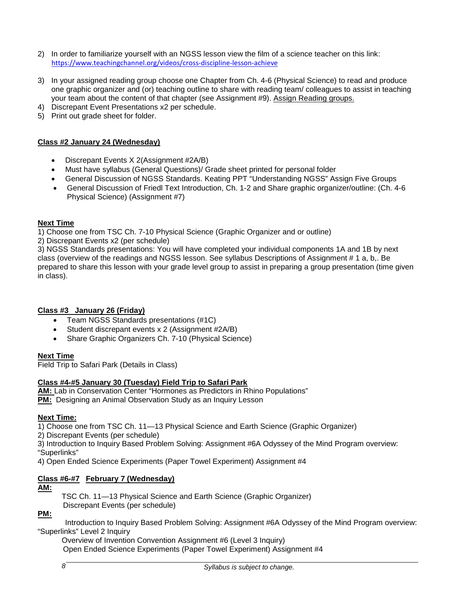- 2) In order to familiarize yourself with an NGSS lesson view the film of a science teacher on this link: https://www.teachingchannel.org/videos/cross-discipline-lesson-achieve
- 3) In your assigned reading group choose one Chapter from Ch. 4-6 (Physical Science) to read and produce one graphic organizer and (or) teaching outline to share with reading team/ colleagues to assist in teaching your team about the content of that chapter (see Assignment #9). Assign Reading groups.
- 4) Discrepant Event Presentations x2 per schedule.
- 5) Print out grade sheet for folder.

# **Class #2 January 24 (Wednesday)**

- Discrepant Events X 2(Assignment #2A/B)
- Must have syllabus (General Questions)/ Grade sheet printed for personal folder
- General Discussion of NGSS Standards. Keating PPT "Understanding NGSS" Assign Five Groups
- General Discussion of Friedl Text Introduction, Ch. 1-2 and Share graphic organizer/outline: (Ch. 4-6 Physical Science) (Assignment #7)

# **Next Time**

1) Choose one from TSC Ch. 7-10 Physical Science (Graphic Organizer and or outline)

2) Discrepant Events x2 (per schedule)

3) NGSS Standards presentations: You will have completed your individual components 1A and 1B by next class (overview of the readings and NGSS lesson. See syllabus Descriptions of Assignment # 1 a, b,. Be prepared to share this lesson with your grade level group to assist in preparing a group presentation (time given in class).

# **Class #3 January 26 (Friday)**

- Team NGSS Standards presentations (#1C)
- Student discrepant events x 2 (Assignment #2A/B)
- Share Graphic Organizers Ch. 7-10 (Physical Science)

# **Next Time**

Field Trip to Safari Park (Details in Class)

# **Class #4-#5 January 30 (Tuesday) Field Trip to Safari Park**

**AM:** Lab in Conservation Center "Hormones as Predictors in Rhino Populations" **PM:** Designing an Animal Observation Study as an Inquiry Lesson

# **Next Time:**

1) Choose one from TSC Ch. 11—13 Physical Science and Earth Science (Graphic Organizer)

2) Discrepant Events (per schedule)

3) Introduction to Inquiry Based Problem Solving: Assignment #6A Odyssey of the Mind Program overview: "Superlinks"

4) Open Ended Science Experiments (Paper Towel Experiment) Assignment #4

# **Class #6-#7 February 7 (Wednesday)**

# **AM:**

TSC Ch. 11—13 Physical Science and Earth Science (Graphic Organizer) Discrepant Events (per schedule)

# **PM:**

 Introduction to Inquiry Based Problem Solving: Assignment #6A Odyssey of the Mind Program overview: "Superlinks" Level 2 Inquiry

Overview of Invention Convention Assignment #6 (Level 3 Inquiry) Open Ended Science Experiments (Paper Towel Experiment) Assignment #4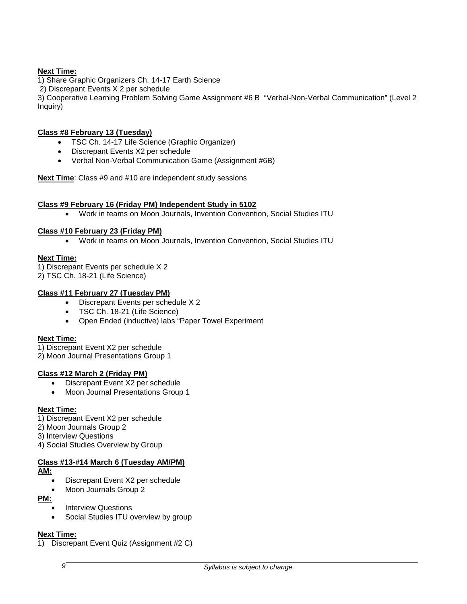# **Next Time:**

1) Share Graphic Organizers Ch. 14-17 Earth Science

2) Discrepant Events X 2 per schedule

3) Cooperative Learning Problem Solving Game Assignment #6 B "Verbal-Non-Verbal Communication" (Level 2 Inquiry)

# **Class #8 February 13 (Tuesday)**

- TSC Ch. 14-17 Life Science (Graphic Organizer)
- Discrepant Events X2 per schedule
- Verbal Non-Verbal Communication Game (Assignment #6B)

**Next Time**: Class #9 and #10 are independent study sessions

# **Class #9 February 16 (Friday PM) Independent Study in 5102**

• Work in teams on Moon Journals, Invention Convention, Social Studies ITU

# **Class #10 February 23 (Friday PM)**

• Work in teams on Moon Journals, Invention Convention, Social Studies ITU

# **Next Time:**

1) Discrepant Events per schedule X 2

2) TSC Ch. 18-21 (Life Science)

# **Class #11 February 27 (Tuesday PM)**

- Discrepant Events per schedule X 2
- TSC Ch. 18-21 (Life Science)
- Open Ended (inductive) labs "Paper Towel Experiment

# **Next Time:**

1) Discrepant Event X2 per schedule

2) Moon Journal Presentations Group 1

# **Class #12 March 2 (Friday PM)**

- Discrepant Event X2 per schedule
- Moon Journal Presentations Group 1

# **Next Time:**

- 1) Discrepant Event X2 per schedule
- 2) Moon Journals Group 2
- 3) Interview Questions
- 4) Social Studies Overview by Group

# **Class #13-#14 March 6 (Tuesday AM/PM)**

**AM:**

- Discrepant Event X2 per schedule
- Moon Journals Group 2

**PM:** 

- **Interview Questions**
- Social Studies ITU overview by group

# **Next Time:**

1) Discrepant Event Quiz (Assignment #2 C)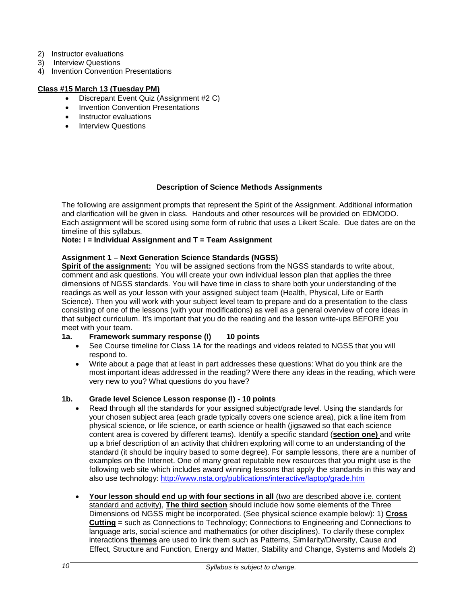- 2) Instructor evaluations
- 3) Interview Questions
- 4) Invention Convention Presentations

# **Class #15 March 13 (Tuesday PM)**

- Discrepant Event Quiz (Assignment #2 C)
- Invention Convention Presentations
- Instructor evaluations
- **Interview Questions**

#### **Description of Science Methods Assignments**

The following are assignment prompts that represent the Spirit of the Assignment. Additional information and clarification will be given in class. Handouts and other resources will be provided on EDMODO. Each assignment will be scored using some form of rubric that uses a Likert Scale. Due dates are on the timeline of this syllabus.

#### **Note: I = Individual Assignment and T = Team Assignment**

#### **Assignment 1 – Next Generation Science Standards (NGSS)**

**Spirit of the assignment:** You will be assigned sections from the NGSS standards to write about, comment and ask questions. You will create your own individual lesson plan that applies the three dimensions of NGSS standards. You will have time in class to share both your understanding of the readings as well as your lesson with your assigned subject team (Health, Physical, Life or Earth Science). Then you will work with your subject level team to prepare and do a presentation to the class consisting of one of the lessons (with your modifications) as well as a general overview of core ideas in that subject curriculum. It's important that you do the reading and the lesson write-ups BEFORE you meet with your team.

- **1a. Framework summary response (I) 10 points**
	- See Course timeline for Class 1A for the readings and videos related to NGSS that you will respond to.
	- Write about a page that at least in part addresses these questions: What do you think are the most important ideas addressed in the reading? Were there any ideas in the reading, which were very new to you? What questions do you have?

# **1b. Grade level Science Lesson response (I) - 10 points**

- Read through all the standards for your assigned subject/grade level. Using the standards for your chosen subject area (each grade typically covers one science area), pick a line item from physical science, or life science, or earth science or health (jigsawed so that each science content area is covered by different teams). Identify a specific standard (**section one)** and write up a brief description of an activity that children exploring will come to an understanding of the standard (it should be inquiry based to some degree). For sample lessons, there are a number of examples on the Internet. One of many great reputable new resources that you might use is the following web site which includes award winning lessons that apply the standards in this way and also use technology:<http://www.nsta.org/publications/interactive/laptop/grade.htm>
- **Your lesson should end up with four sections in all** (two are described above i.e. content standard and activity), **The third section** should include how some elements of the Three Dimensions od NGSS might be incorporated. (See physical science example below): 1) **Cross Cutting** = such as Connections to Technology; Connections to Engineering and Connections to language arts, social science and mathematics (or other disciplines). To clarify these complex interactions **themes** are used to link them such as Patterns, Similarity/Diversity, Cause and Effect, Structure and Function, Energy and Matter, Stability and Change, Systems and Models 2)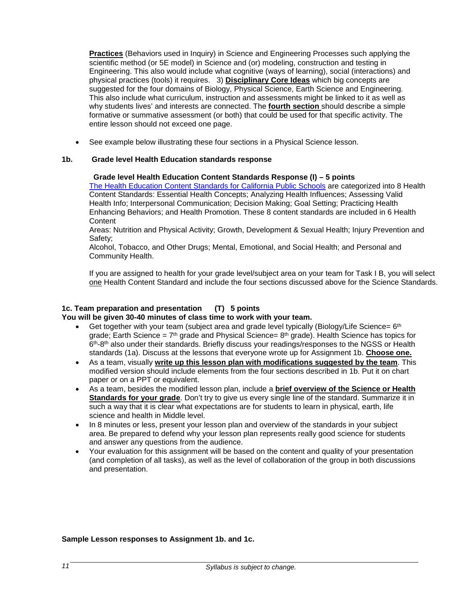**Practices** (Behaviors used in Inquiry) in Science and Engineering Processes such applying the scientific method (or 5E model) in Science and (or) modeling, construction and testing in Engineering. This also would include what cognitive (ways of learning), social (interactions) and physical practices (tools) it requires. 3) **Disciplinary Core Ideas** which big concepts are suggested for the four domains of Biology, Physical Science, Earth Science and Engineering. This also include what curriculum, instruction and assessments might be linked to it as well as why students lives' and interests are connected. The **fourth section** should describe a simple formative or summative assessment (or both) that could be used for that specific activity. The entire lesson should not exceed one page.

See example below illustrating these four sections in a Physical Science lesson.

# **1b. Grade level Health Education standards response**

#### **Grade level Health Education Content Standards Response (I) – 5 points**

[The Health Education Content Standards for California Public Schools](http://www.cde.ca.gov/be/st/ss/documents/healthstandmar08.pdf) are categorized into 8 Health Content Standards: Essential Health Concepts; Analyzing Health Influences; Assessing Valid Health Info; Interpersonal Communication; Decision Making; Goal Setting; Practicing Health Enhancing Behaviors; and Health Promotion. These 8 content standards are included in 6 Health **Content** 

Areas: Nutrition and Physical Activity; Growth, Development & Sexual Health; Injury Prevention and Safety;

Alcohol, Tobacco, and Other Drugs; Mental, Emotional, and Social Health; and Personal and Community Health.

If you are assigned to health for your grade level/subject area on your team for Task I B, you will select one Health Content Standard and include the four sections discussed above for the Science Standards.

# **1c. Team preparation and presentation (T) 5 points You will be given 30-40 minutes of class time to work with your team.**

- Get together with your team (subject area and grade level typically (Biology/Life Science=  $6<sup>th</sup>$ grade; Earth Science =  $7<sup>th</sup>$  grade and Physical Science=  $8<sup>th</sup>$  grade). Health Science has topics for 6th-8th also under their standards. Briefly discuss your readings/responses to the NGSS or Health standards (1a). Discuss at the lessons that everyone wrote up for Assignment 1b. **Choose one.**
- As a team, visually **write up this lesson plan with modifications suggested by the team**. This modified version should include elements from the four sections described in 1b. Put it on chart paper or on a PPT or equivalent.
- As a team, besides the modified lesson plan, include a **brief overview of the Science or Health Standards for your grade**. Don't try to give us every single line of the standard. Summarize it in such a way that it is clear what expectations are for students to learn in physical, earth, life science and health in Middle level.
- In 8 minutes or less, present your lesson plan and overview of the standards in your subject area. Be prepared to defend why your lesson plan represents really good science for students and answer any questions from the audience.
- Your evaluation for this assignment will be based on the content and quality of your presentation (and completion of all tasks), as well as the level of collaboration of the group in both discussions and presentation.

#### **Sample Lesson responses to Assignment 1b. and 1c.**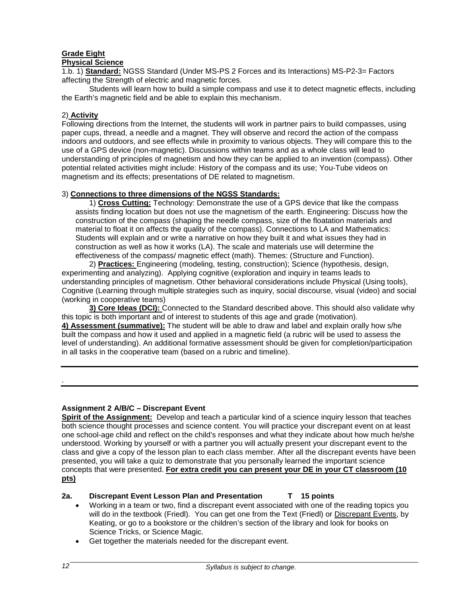# **Grade Eight**

# **Physical Science**

1.b. 1) **Standard:** NGSS Standard (Under MS-PS 2 Forces and its Interactions) MS-P2-3= Factors affecting the Strength of electric and magnetic forces.

Students will learn how to build a simple compass and use it to detect magnetic effects, including the Earth's magnetic field and be able to explain this mechanism.

# 2) **Activity**

Following directions from the Internet, the students will work in partner pairs to build compasses, using paper cups, thread, a needle and a magnet. They will observe and record the action of the compass indoors and outdoors, and see effects while in proximity to various objects. They will compare this to the use of a GPS device (non-magnetic). Discussions within teams and as a whole class will lead to understanding of principles of magnetism and how they can be applied to an invention (compass). Other potential related activities might include: History of the compass and its use; You-Tube videos on magnetism and its effects; presentations of DE related to magnetism.

#### 3) **Connections to three dimensions of the NGSS Standards:**

1) **Cross Cutting:** Technology: Demonstrate the use of a GPS device that like the compass assists finding location but does not use the magnetism of the earth. Engineering: Discuss how the construction of the compass (shaping the needle compass, size of the floatation materials and material to float it on affects the quality of the compass). Connections to LA and Mathematics: Students will explain and or write a narrative on how they built it and what issues they had in construction as well as how it works (LA). The scale and materials use will determine the effectiveness of the compass/ magnetic effect (math). Themes: (Structure and Function).

 2) **Practices:** Engineering (modeling, testing, construction); Science (hypothesis, design, experimenting and analyzing). Applying cognitive (exploration and inquiry in teams leads to understanding principles of magnetism. Other behavioral considerations include Physical (Using tools), Cognitive (Learning through multiple strategies such as inquiry, social discourse, visual (video) and social (working in cooperative teams)

**3) Core Ideas (DCI):** Connected to the Standard described above. This should also validate why this topic is both important and of interest to students of this age and grade (motivation). **4) Assessment (summative):** The student will be able to draw and label and explain orally how s/he built the compass and how it used and applied in a magnetic field (a rubric will be used to assess the level of understanding). An additional formative assessment should be given for completion/participation in all tasks in the cooperative team (based on a rubric and timeline).

.

# **Assignment 2 A/B/C – Discrepant Event**

**Spirit of the Assignment:** Develop and teach a particular kind of a science inquiry lesson that teaches both science thought processes and science content. You will practice your discrepant event on at least one school-age child and reflect on the child's responses and what they indicate about how much he/she understood. Working by yourself or with a partner you will actually present your discrepant event to the class and give a copy of the lesson plan to each class member. After all the discrepant events have been presented, you will take a quiz to demonstrate that you personally learned the important science concepts that were presented. **For extra credit you can present your DE in your CT classroom (10 pts)**

# **2a. Discrepant Event Lesson Plan and Presentation T 15 points**

- Working in a team or two, find a discrepant event associated with one of the reading topics you will do in the textbook (Friedl). You can get one from the Text (Friedl) or Discrepant Events, by Keating, or go to a bookstore or the children's section of the library and look for books on Science Tricks, or Science Magic.
- Get together the materials needed for the discrepant event.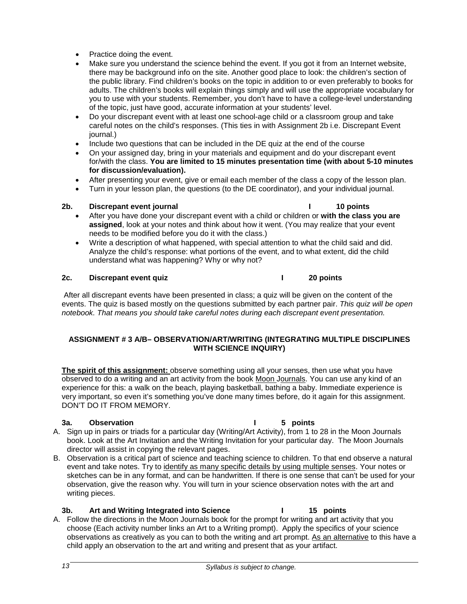- Practice doing the event.
- Make sure you understand the science behind the event. If you got it from an Internet website, there may be background info on the site. Another good place to look: the children's section of the public library. Find children's books on the topic in addition to or even preferably to books for adults. The children's books will explain things simply and will use the appropriate vocabulary for you to use with your students. Remember, you don't have to have a college-level understanding of the topic, just have good, accurate information at your students' level.
- Do your discrepant event with at least one school-age child or a classroom group and take careful notes on the child's responses. (This ties in with Assignment 2b i.e. Discrepant Event journal.)
- Include two questions that can be included in the DE quiz at the end of the course
- On your assigned day, bring in your materials and equipment and do your discrepant event for/with the class. **You are limited to 15 minutes presentation time (with about 5-10 minutes for discussion/evaluation).**
- After presenting your event, give or email each member of the class a copy of the lesson plan.
- Turn in your lesson plan, the questions (to the DE coordinator), and your individual journal.

# **2b. Discrepant event journal I 10 points**

- 
- After you have done your discrepant event with a child or children or **with the class you are assigned**, look at your notes and think about how it went. (You may realize that your event needs to be modified before you do it with the class.)
- Write a description of what happened, with special attention to what the child said and did. Analyze the child's response: what portions of the event, and to what extent, did the child understand what was happening? Why or why not?

# **2c. Discrepant event quiz I 20 points**

After all discrepant events have been presented in class; a quiz will be given on the content of the events. The quiz is based mostly on the questions submitted by each partner pair. *This quiz will be open notebook. That means you should take careful notes during each discrepant event presentation.*

# **ASSIGNMENT # 3 A/B– OBSERVATION/ART/WRITING (INTEGRATING MULTIPLE DISCIPLINES WITH SCIENCE INQUIRY)**

**The spirit of this assignment:** observe something using all your senses, then use what you have observed to do a writing and an art activity from the book Moon Journals. You can use any kind of an experience for this: a walk on the beach, playing basketball, bathing a baby. Immediate experience is very important, so even it's something you've done many times before, do it again for this assignment. DON'T DO IT FROM MEMORY.

# **3a. Observation I 5 points**

- A. Sign up in pairs or triads for a particular day (Writing/Art Activity), from 1 to 28 in the Moon Journals book. Look at the Art Invitation and the Writing Invitation for your particular day. The Moon Journals director will assist in copying the relevant pages.
- B. Observation is a critical part of science and teaching science to children. To that end observe a natural event and take notes. Try to identify as many specific details by using multiple senses. Your notes or sketches can be in any format, and can be handwritten. If there is one sense that can't be used for your observation, give the reason why. You will turn in your science observation notes with the art and writing pieces.

# **3b. Art and Writing Integrated into Science I 15 points**

A. Follow the directions in the Moon Journals book for the prompt for writing and art activity that you choose (Each activity number links an Art to a Writing prompt). Apply the specifics of your science observations as creatively as you can to both the writing and art prompt. As an alternative to this have a child apply an observation to the art and writing and present that as your artifact.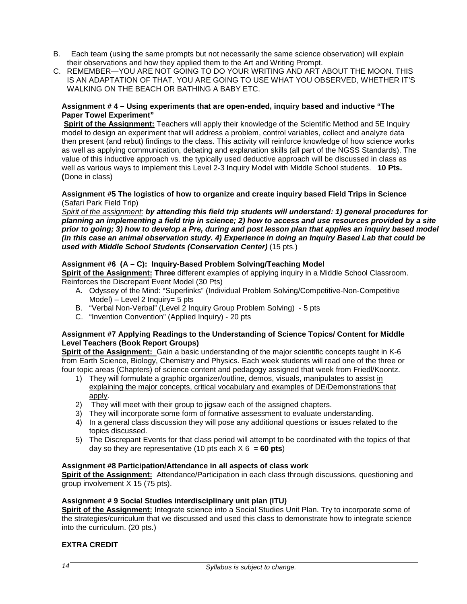- B. Each team (using the same prompts but not necessarily the same science observation) will explain their observations and how they applied them to the Art and Writing Prompt.
- C. REMEMBER—YOU ARE NOT GOING TO DO YOUR WRITING AND ART ABOUT THE MOON. THIS IS AN ADAPTATION OF THAT. YOU ARE GOING TO USE WHAT YOU OBSERVED, WHETHER IT'S WALKING ON THE BEACH OR BATHING A BABY ETC.

#### **Assignment # 4 – Using experiments that are open-ended, inquiry based and inductive "The Paper Towel Experiment"**

**Spirit of the Assignment:** Teachers will apply their knowledge of the Scientific Method and 5E Inquiry model to design an experiment that will address a problem, control variables, collect and analyze data then present (and rebut) findings to the class. This activity will reinforce knowledge of how science works as well as applying communication, debating and explanation skills (all part of the NGSS Standards). The value of this inductive approach vs. the typically used deductive approach will be discussed in class as well as various ways to implement this Level 2-3 Inquiry Model with Middle School students. **10 Pts. (**Done in class)

#### **Assignment #5 The logistics of how to organize and create inquiry based Field Trips in Science** (Safari Park Field Trip)

*Spirit of the assignment: by attending this field trip students will understand: 1) general procedures for planning an implementing a field trip in science; 2) how to access and use resources provided by a site prior to going; 3) how to develop a Pre, during and post lesson plan that applies an inquiry based model (in this case an animal observation study. 4) Experience in doing an Inquiry Based Lab that could be used with Middle School Students (Conservation Center)* (15 pts.)

# **Assignment #6 (A – C): Inquiry-Based Problem Solving/Teaching Model**

**Spirit of the Assignment: Three** different examples of applying inquiry in a Middle School Classroom. Reinforces the Discrepant Event Model (30 Pts)

- A. Odyssey of the Mind: "Superlinks" (Individual Problem Solving/Competitive-Non-Competitive  $Model$ ) – Level 2 Inquiry= 5 pts
- B. "Verbal Non-Verbal" (Level 2 Inquiry Group Problem Solving) 5 pts
- C. "Invention Convention" (Applied Inquiry) 20 pts

# **Assignment #7 Applying Readings to the Understanding of Science Topics/ Content for Middle Level Teachers (Book Report Groups)**

**Spirit of the Assignment:** Gain a basic understanding of the major scientific concepts taught in K-6 from Earth Science, Biology, Chemistry and Physics. Each week students will read one of the three or four topic areas (Chapters) of science content and pedagogy assigned that week from Friedl/Koontz.

- 1) They will formulate a graphic organizer/outline, demos, visuals, manipulates to assist in explaining the major concepts, critical vocabulary and examples of DE/Demonstrations that apply.
- 2) They will meet with their group to jigsaw each of the assigned chapters.
- 3) They will incorporate some form of formative assessment to evaluate understanding.
- 4) In a general class discussion they will pose any additional questions or issues related to the topics discussed.
- 5) The Discrepant Events for that class period will attempt to be coordinated with the topics of that day so they are representative (10 pts each  $X$   $6 = 60$  pts)

# **Assignment #8 Participation/Attendance in all aspects of class work**

**Spirit of the Assignment:** Attendance/Participation in each class through discussions, questioning and group involvement X 15 (75 pts).

# **Assignment # 9 Social Studies interdisciplinary unit plan (ITU)**

**Spirit of the Assignment:** Integrate science into a Social Studies Unit Plan. Try to incorporate some of the strategies/curriculum that we discussed and used this class to demonstrate how to integrate science into the curriculum. (20 pts.)

# **EXTRA CREDIT**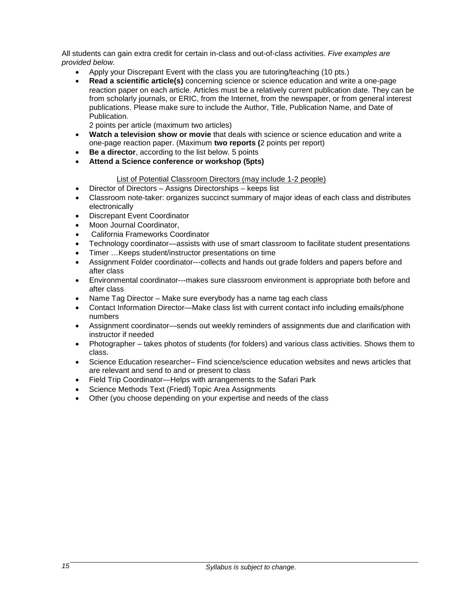All students can gain extra credit for certain in-class and out-of-class activities. *Five examples are provided below.*

- Apply your Discrepant Event with the class you are tutoring/teaching (10 pts.)
- **Read a scientific article(s)** concerning science or science education and write a one-page reaction paper on each article. Articles must be a relatively current publication date. They can be from scholarly journals, or ERIC, from the Internet, from the newspaper, or from general interest publications. Please make sure to include the Author, Title, Publication Name, and Date of Publication.

2 points per article (maximum two articles)

- **Watch a television show or movie** that deals with science or science education and write a one-page reaction paper. (Maximum **two reports (**2 points per report)
- **Be a director**, according to the list below. 5 points
- **Attend a Science conference or workshop (5pts)**

# List of Potential Classroom Directors (may include 1-2 people)

- Director of Directors Assigns Directorships keeps list
- Classroom note-taker: organizes succinct summary of major ideas of each class and distributes electronically
- Discrepant Event Coordinator
- Moon Journal Coordinator,
- California Frameworks Coordinator
- Technology coordinator—assists with use of smart classroom to facilitate student presentations
- Timer ... Keeps student/instructor presentations on time
- Assignment Folder coordinator---collects and hands out grade folders and papers before and after class
- Environmental coordinator---makes sure classroom environment is appropriate both before and after class
- Name Tag Director Make sure everybody has a name tag each class
- Contact Information Director—Make class list with current contact info including emails/phone numbers
- Assignment coordinator—sends out weekly reminders of assignments due and clarification with instructor if needed
- Photographer takes photos of students (for folders) and various class activities. Shows them to class.
- Science Education researcher– Find science/science education websites and news articles that are relevant and send to and or present to class
- Field Trip Coordinator—Helps with arrangements to the Safari Park
- Science Methods Text (Friedl) Topic Area Assignments
- Other (you choose depending on your expertise and needs of the class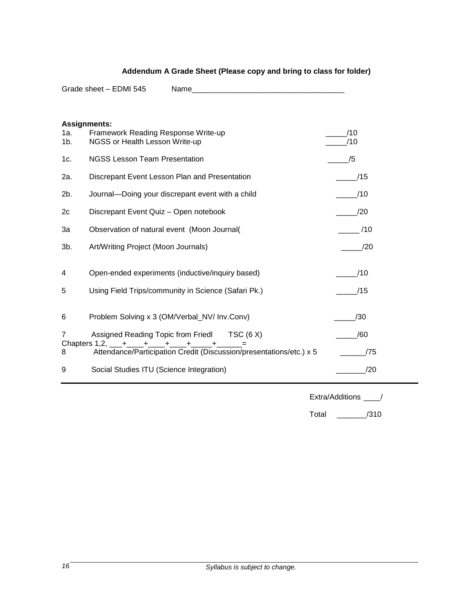|                | Grade sheet - EDMI 545<br>Name and the contract of the contract of the contract of the contract of the contract of the contract of the contract of the contract of the contract of the contract of the contract of the contract of the contract of the c |            |
|----------------|----------------------------------------------------------------------------------------------------------------------------------------------------------------------------------------------------------------------------------------------------------|------------|
|                |                                                                                                                                                                                                                                                          |            |
| 1a.<br>$1b$ .  | <b>Assignments:</b><br>Framework Reading Response Write-up<br>NGSS or Health Lesson Write-up                                                                                                                                                             | /10<br>/10 |
| 1c.            | <b>NGSS Lesson Team Presentation</b>                                                                                                                                                                                                                     | /5         |
| 2a.            | Discrepant Event Lesson Plan and Presentation                                                                                                                                                                                                            | /15        |
| 2b.            | Journal-Doing your discrepant event with a child                                                                                                                                                                                                         | /10        |
| 2c             | Discrepant Event Quiz - Open notebook                                                                                                                                                                                                                    | /20        |
| 3a             | Observation of natural event (Moon Journal(                                                                                                                                                                                                              | /10        |
| 3b.            | Art/Writing Project (Moon Journals)                                                                                                                                                                                                                      | /20        |
| 4              | Open-ended experiments (inductive/inquiry based)                                                                                                                                                                                                         | /10        |
| 5              | Using Field Trips/community in Science (Safari Pk.)                                                                                                                                                                                                      | /15        |
| 6              | Problem Solving x 3 (OM/Verbal_NV/ Inv.Conv)                                                                                                                                                                                                             | /30        |
| $\overline{7}$ | Assigned Reading Topic from Fried TSC (6 X)<br>Chapters 1,2, $+$ $+$ $+$ $+$ $+$ $+$ $+$                                                                                                                                                                 | /60        |
| 8              | Attendance/Participation Credit (Discussion/presentations/etc.) x 5                                                                                                                                                                                      | /75        |
| 9              | Social Studies ITU (Science Integration)                                                                                                                                                                                                                 | /20        |

# **Addendum A Grade Sheet (Please copy and bring to class for folder)**

Extra/Additions \_\_\_\_/

Total \_\_\_\_\_\_\_/310